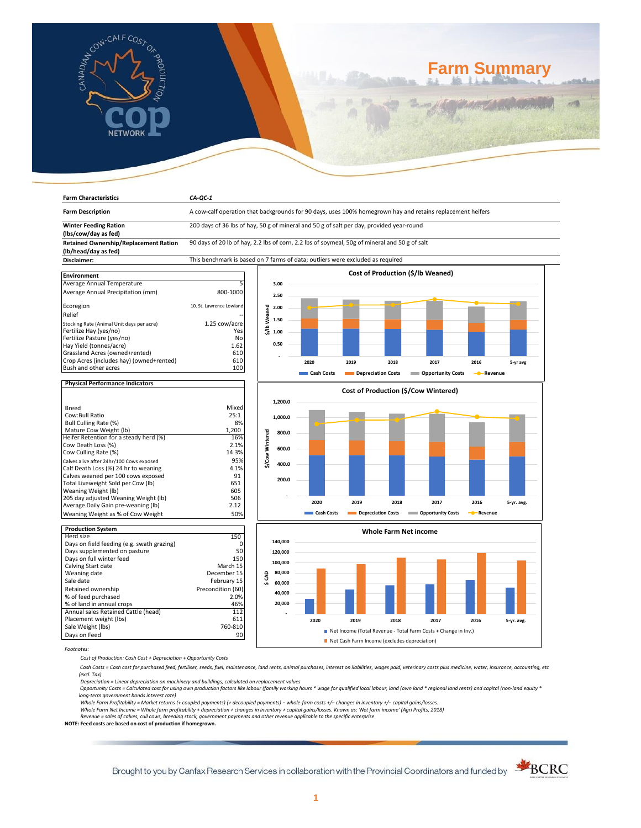

# **Farm Summary**

| <b>Farm Characteristics</b>                          | $CA-QC-1$                                                                                                  |                          |            |                    |      |                                      |                       |            |
|------------------------------------------------------|------------------------------------------------------------------------------------------------------------|--------------------------|------------|--------------------|------|--------------------------------------|-----------------------|------------|
| <b>Farm Description</b>                              | A cow-calf operation that backgrounds for 90 days, uses 100% homegrown hay and retains replacement heifers |                          |            |                    |      |                                      |                       |            |
| <b>Winter Feeding Ration</b><br>(lbs/cow/day as fed) | 200 days of 36 lbs of hay, 50 g of mineral and 50 g of salt per day, provided year-round                   |                          |            |                    |      |                                      |                       |            |
| <b>Retained Ownership/Replacement Ration</b>         | 90 days of 20 lb of hay, 2.2 lbs of corn, 2.2 lbs of soymeal, 50g of mineral and 50 g of salt              |                          |            |                    |      |                                      |                       |            |
| (lb/head/day as fed)<br>Disclaimer:                  | This benchmark is based on 7 farms of data; outliers were excluded as required                             |                          |            |                    |      |                                      |                       |            |
|                                                      |                                                                                                            |                          |            |                    |      |                                      |                       |            |
| <b>Environment</b>                                   |                                                                                                            |                          |            |                    |      | Cost of Production (\$/lb Weaned)    |                       |            |
| Average Annual Temperature                           |                                                                                                            | 3.00                     |            |                    |      |                                      |                       |            |
| Average Annual Precipitation (mm)                    | 800-1000                                                                                                   | 2.50                     |            |                    |      |                                      |                       |            |
| Ecoregion                                            | 10. St. Lawrence Lowland                                                                                   | 2.00                     |            |                    |      |                                      |                       |            |
| Relief                                               |                                                                                                            |                          |            |                    |      |                                      |                       |            |
| Stocking Rate (Animal Unit days per acre)            | 1.25 cow/acre                                                                                              | \$/lbWeaned<br>1.50      |            |                    |      |                                      |                       |            |
| Fertilize Hay (yes/no)                               | Yes                                                                                                        | 1.00                     |            |                    |      |                                      |                       |            |
| Fertilize Pasture (yes/no)                           | No                                                                                                         |                          |            |                    |      |                                      |                       |            |
| Hay Yield (tonnes/acre)                              | 1.62                                                                                                       | 0.50                     |            |                    |      |                                      |                       |            |
| Grassland Acres (owned+rented)                       | 610                                                                                                        |                          |            |                    |      |                                      |                       |            |
| Crop Acres (includes hay) (owned+rented)             | 610                                                                                                        |                          | 2020       | 2019               | 2018 | 2017                                 | 2016                  | 5-yr avg   |
| Bush and other acres                                 | 100                                                                                                        |                          |            |                    |      |                                      |                       |            |
|                                                      |                                                                                                            |                          | Cash Costs | Depreciation Costs |      | <b>COPPORTUGITY COSTS</b>            | - Revenue             |            |
| <b>Physical Performance Indicators</b>               |                                                                                                            |                          |            |                    |      |                                      |                       |            |
|                                                      |                                                                                                            |                          |            |                    |      | Cost of Production (\$/Cow Wintered) |                       |            |
| <b>Breed</b>                                         | Mixed                                                                                                      | 1,200.0                  |            |                    |      |                                      |                       |            |
| Cow:Bull Ratio                                       | 25:1                                                                                                       |                          |            |                    |      |                                      |                       |            |
| Bull Culling Rate (%)                                | 8%                                                                                                         | 1,000.0                  |            |                    |      |                                      |                       |            |
| Mature Cow Weight (lb)                               | 1,200                                                                                                      |                          |            |                    |      |                                      |                       |            |
| Heifer Retention for a steady herd (%)               | 16%                                                                                                        | \$/Cow Wintered<br>800.0 |            |                    |      |                                      |                       |            |
| Cow Death Loss (%)                                   | 2.1%                                                                                                       |                          |            |                    |      |                                      |                       |            |
| Cow Culling Rate (%)                                 | 14.3%                                                                                                      | 600.0                    |            |                    |      |                                      |                       |            |
| Calves alive after 24hr/100 Cows exposed             | 95%                                                                                                        |                          |            |                    |      |                                      |                       |            |
| Calf Death Loss (%) 24 hr to weaning                 | 4.1%                                                                                                       | 400.0                    |            |                    |      |                                      |                       |            |
| Calves weaned per 100 cows exposed                   | 91                                                                                                         |                          |            |                    |      |                                      |                       |            |
| Total Liveweight Sold per Cow (lb)                   | 651                                                                                                        | 200.0                    |            |                    |      |                                      |                       |            |
| Weaning Weight (lb)                                  | 605                                                                                                        |                          |            |                    |      |                                      |                       |            |
| 205 day adjusted Weaning Weight (lb)                 | 506                                                                                                        |                          |            |                    |      |                                      |                       |            |
| Average Daily Gain pre-weaning (lb)                  | 2.12                                                                                                       |                          | 2020       | 2019               | 2018 | 2017                                 | 2016                  | 5-yr. avg. |
| Weaning Weight as % of Cow Weight                    | 50%                                                                                                        |                          | Cash Costs | Depreciation Costs |      | <b>Copportunity Costs</b>            | - <sup></sup> Revenue |            |
|                                                      |                                                                                                            |                          |            |                    |      |                                      |                       |            |
| <b>Production System</b>                             |                                                                                                            |                          |            |                    |      | <b>Whole Farm Net income</b>         |                       |            |
| Herd size                                            | 150                                                                                                        | 140,000                  |            |                    |      |                                      |                       |            |
| Days on field feeding (e.g. swath grazing)           | 0                                                                                                          |                          |            |                    |      |                                      |                       |            |
| Days supplemented on pasture                         | 50<br>150                                                                                                  | 120,000                  |            |                    |      |                                      |                       |            |
| Days on full winter feed<br>Calving Start date       | March 15                                                                                                   | 100,000                  |            |                    |      |                                      |                       |            |
| Weaning date                                         | December 15                                                                                                | 80,000                   |            |                    |      |                                      |                       |            |
| Sale date                                            | February 15                                                                                                | g                        |            |                    |      |                                      |                       |            |
|                                                      | Precondition (60)                                                                                          | 60,000<br>s              |            |                    |      |                                      |                       |            |
| Retained ownership                                   |                                                                                                            | 40,000                   |            |                    |      |                                      |                       |            |
| % of feed purchased                                  | 2.0%                                                                                                       | 20,000                   |            |                    |      |                                      |                       |            |
| % of land in annual crops                            | 46%                                                                                                        |                          |            |                    |      |                                      |                       |            |
| Annual sales Retained Cattle (head)                  | 112                                                                                                        |                          |            |                    |      |                                      |                       |            |
| Placement weight (lbs)<br>Sale Weight (lbs)          | 611<br>760-810                                                                                             |                          | 2020       | 2019               | 2018 | 2017                                 | 2016                  | 5-yr. avg. |
|                                                      | Net Income (Total Revenue - Total Farm Costs + Change in Inv.)<br>90                                       |                          |            |                    |      |                                      |                       |            |
| Days on Feed                                         | Net Cash Farm Income (excludes depreciation)                                                               |                          |            |                    |      |                                      |                       |            |

*Footnotes:*

*Cost of Production: Cash Cost + Depreciation + Opportunity Costs*

 *Cash Costs = Cash cost for purchased feed, fertiliser, seeds, fuel, maintenance, land rents, animal purchases, interest on liabilities, wages paid, veterinary costs plus medicine, water, insurance, accounting, etc (excl. Tax)* 

Depreciation = Linear depreciation on machinery and buildings, calculated on replacement values<br>Opportunity Costs = Calculated cost for using own production factors like labour (family working hours \* wage for qualified lo

*long-term government bonds interest rate)* 

Whole Farm Profitability = Market returns (+ coupled payments) (+ decoupled payments) – whole-farm costs +/– changes in inventory +/– capital gains/losses.<br>Whole Farm Net Income = Whole farm profitability + depreciation +

*Revenue = sales of calves, cull cows, breeding stock, government payments and other revenue applicable to the specific enterprise* **NOTE: Feed costs are based on cost of production if homegrown.**

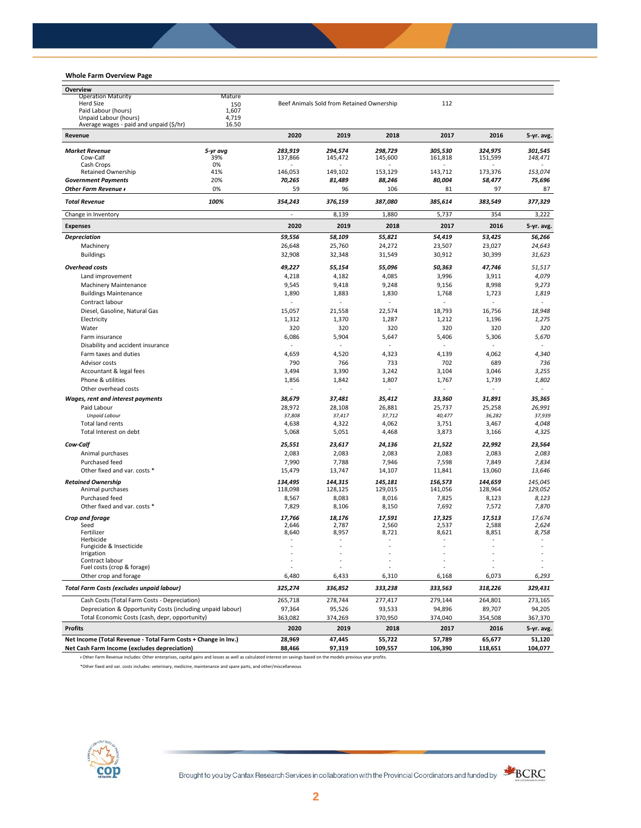## **Whole Farm Overview Page**

| Whole Farm Overview Page                                       |              |                          |                                           |                          |                   |                          |                          |
|----------------------------------------------------------------|--------------|--------------------------|-------------------------------------------|--------------------------|-------------------|--------------------------|--------------------------|
| Overview                                                       |              |                          |                                           |                          |                   |                          |                          |
| <b>Operation Maturity</b>                                      | Mature       |                          |                                           |                          |                   |                          |                          |
| <b>Herd Size</b><br>Paid Labour (hours)                        | 150<br>1,607 |                          | Beef Animals Sold from Retained Ownership |                          | 112               |                          |                          |
| Unpaid Labour (hours)                                          | 4,719        |                          |                                           |                          |                   |                          |                          |
| Average wages - paid and unpaid (\$/hr)                        | 16.50        |                          |                                           |                          |                   |                          |                          |
| Revenue                                                        |              | 2020                     | 2019                                      | 2018                     | 2017              | 2016                     | 5-yr. avg.               |
| <b>Market Revenue</b>                                          | 5-yr avg     | 283,919                  | 294,574                                   | 298,729                  | 305,530           | 324,975                  | 301,545                  |
| Cow-Calf                                                       | 39%          | 137,866                  | 145,472                                   | 145,600                  | 161,818           | 151,599                  | 148,471                  |
| Cash Crops                                                     | 0%<br>41%    |                          |                                           |                          |                   |                          |                          |
| Retained Ownership<br><b>Government Payments</b>               | 20%          | 146,053<br>70,265        | 149,102<br>81,489                         | 153,129<br>88,246        | 143,712<br>80,004 | 173,376<br>58,477        | 153,074<br>75,696        |
| Other Farm Revenue +                                           | 0%           | 59                       | 96                                        | 106                      | 81                | 97                       | 87                       |
| <b>Total Revenue</b>                                           | 100%         | 354,243                  | 376,159                                   | 387,080                  | 385,614           | 383,549                  | 377,329                  |
| Change in Inventory                                            |              | ÷,                       | 8,139                                     | 1,880                    | 5,737             | 354                      | 3,222                    |
| <b>Expenses</b>                                                |              | 2020                     | 2019                                      | 2018                     | 2017              | 2016                     | 5-yr. avg.               |
| <b>Depreciation</b>                                            |              | 59,556                   | 58,109                                    | 55,821                   | 54,419            | 53,425                   | 56,266                   |
| Machinery                                                      |              | 26,648                   | 25,760                                    | 24,272                   | 23,507            | 23,027                   | 24,643                   |
| <b>Buildings</b>                                               |              | 32,908                   | 32,348                                    | 31,549                   | 30,912            | 30,399                   | 31,623                   |
|                                                                |              |                          |                                           |                          |                   |                          |                          |
| <b>Overhead costs</b>                                          |              | 49,227                   | 55,154                                    | 55,096                   | 50,363            | 47,746                   | 51,517                   |
| Land improvement                                               |              | 4,218                    | 4,182                                     | 4,085                    | 3,996             | 3,911                    | 4,079                    |
| Machinery Maintenance                                          |              | 9,545                    | 9,418                                     | 9,248                    | 9,156             | 8,998                    | 9,273                    |
| <b>Buildings Maintenance</b>                                   |              | 1,890                    | 1,883                                     | 1,830                    | 1,768             | 1,723                    | 1,819                    |
| Contract labour                                                |              | ä,                       |                                           | ä,                       | ä,                | ä,                       | ä,                       |
| Diesel, Gasoline, Natural Gas                                  |              | 15,057                   | 21,558                                    | 22,574                   | 18,793            | 16,756                   | 18,948                   |
| Electricity                                                    |              | 1,312                    | 1,370                                     | 1,287                    | 1,212             | 1,196                    | 1,275                    |
| Water                                                          |              | 320                      | 320                                       | 320                      | 320               | 320                      | 320                      |
| Farm insurance                                                 |              | 6,086                    | 5,904                                     | 5,647                    | 5,406             | 5,306                    | 5,670                    |
| Disability and accident insurance                              |              | $\overline{\phantom{a}}$ |                                           |                          |                   |                          |                          |
| Farm taxes and duties<br>Advisor costs                         |              | 4,659<br>790             | 4,520                                     | 4,323                    | 4,139             | 4,062<br>689             | 4,340                    |
|                                                                |              |                          | 766                                       | 733                      | 702               |                          | 736                      |
| Accountant & legal fees                                        |              | 3,494                    | 3,390                                     | 3,242                    | 3,104             | 3,046                    | 3,255                    |
| Phone & utilities<br>Other overhead costs                      |              | 1,856<br>٠               | 1,842                                     | 1,807<br>٠               | 1,767<br>٠        | 1,739<br>٠               | 1,802<br>٠               |
| Wages, rent and interest payments                              |              | 38,679                   | 37,481                                    | 35,412                   | 33,360            | 31,891                   | 35,365                   |
| Paid Labour                                                    |              | 28,972                   | 28,108                                    | 26,881                   | 25,737            | 25,258                   | 26,991                   |
| <b>Unpaid Labour</b>                                           |              | 37,808                   | 37,417                                    | 37,712                   | 40,477            | 36,282                   | 37,939                   |
| <b>Total land rents</b>                                        |              | 4,638                    | 4,322                                     | 4,062                    | 3,751             | 3,467                    | 4,048                    |
| Total Interest on debt                                         |              | 5,068                    | 5,051                                     | 4,468                    | 3,873             | 3,166                    | 4,325                    |
|                                                                |              |                          |                                           |                          |                   |                          |                          |
| Cow-Calf                                                       |              | 25,551                   | 23,617                                    | 24,136                   | 21,522            | 22,992                   | 23,564                   |
| Animal purchases                                               |              | 2,083                    | 2,083                                     | 2,083                    | 2,083             | 2,083                    | 2,083                    |
| Purchased feed                                                 |              | 7,990                    | 7,788                                     | 7,946                    | 7,598             | 7,849                    | 7,834                    |
| Other fixed and var. costs *                                   |              | 15,479                   | 13,747                                    | 14,107                   | 11,841            | 13,060                   | 13,646                   |
| <b>Retained Ownership</b>                                      |              | 134,495                  | 144,315                                   | 145,181                  | 156,573           | 144,659                  | 145,045                  |
| Animal purchases                                               |              | 118,098                  | 128,125                                   | 129,015                  | 141,056           | 128,964                  | 129,052                  |
| Purchased feed                                                 |              | 8,567                    | 8,083                                     | 8,016                    | 7,825             | 8,123                    | 8,123                    |
| Other fixed and var. costs *                                   |              | 7,829                    | 8,106                                     | 8,150                    | 7,692             | 7,572                    | 7,870                    |
| Crop and forage                                                |              | 17,766                   | 18,176                                    | 17,591                   | 17,325            | 17,513                   | 17,674                   |
| Seed<br>Fertilizer                                             |              | 2,646<br>8,640           | 2,787<br>8,957                            | 2,560<br>8,721           | 2,537<br>8,621    | 2,588<br>8,851           | 2,624<br>8,758           |
| Herbicide                                                      |              | $\overline{\phantom{a}}$ |                                           | $\overline{\phantom{a}}$ | ٠                 | $\overline{\phantom{a}}$ | $\overline{\phantom{a}}$ |
| Fungicide & Insecticide                                        |              |                          |                                           |                          |                   |                          |                          |
| Irrigation                                                     |              |                          |                                           |                          |                   |                          |                          |
| Contract labour<br>Fuel costs (crop & forage)                  |              |                          |                                           |                          |                   |                          |                          |
| Other crop and forage                                          |              | 6,480                    | 6,433                                     | 6,310                    | 6,168             | 6,073                    | 6,293                    |
| <b>Total Farm Costs (excludes unpaid labour)</b>               |              | 325,274                  | 336,852                                   | 333,238                  | 333,563           | 318,226                  | 329,431                  |
| Cash Costs (Total Farm Costs - Depreciation)                   |              | 265,718                  | 278,744                                   | 277,417                  | 279,144           | 264,801                  | 273,165                  |
| Depreciation & Opportunity Costs (including unpaid labour)     |              | 97,364                   | 95,526                                    | 93,533                   | 94,896            | 89,707                   | 94,205                   |
| Total Economic Costs (cash, depr, opportunity)                 |              | 363,082                  | 374,269                                   | 370,950                  | 374,040           | 354,508                  | 367,370                  |
| <b>Profits</b>                                                 |              | 2020                     | 2019                                      | 2018                     | 2017              | 2016                     | 5-yr. avg.               |
| Net Income (Total Revenue - Total Farm Costs + Change in Inv.) |              | 28,969                   | 47,445                                    | 55,722                   | 57,789            | 65,677                   | 51,120                   |
| Net Cash Farm Income (excludes depreciation)                   |              | 88,466                   | 97,319                                    | 109,557                  | 106,390           | 118,651                  | 104,077                  |
|                                                                |              |                          |                                           |                          |                   |                          |                          |

ᵻ Other Farm Revenue includes: Other enterprises, capital gains and losses as well as calculated interest on savings based on the models previous year profits.

\*Other fixed and var. costs includes: veterinary, medicine, maintenance and spare parts, and other/miscellaneous

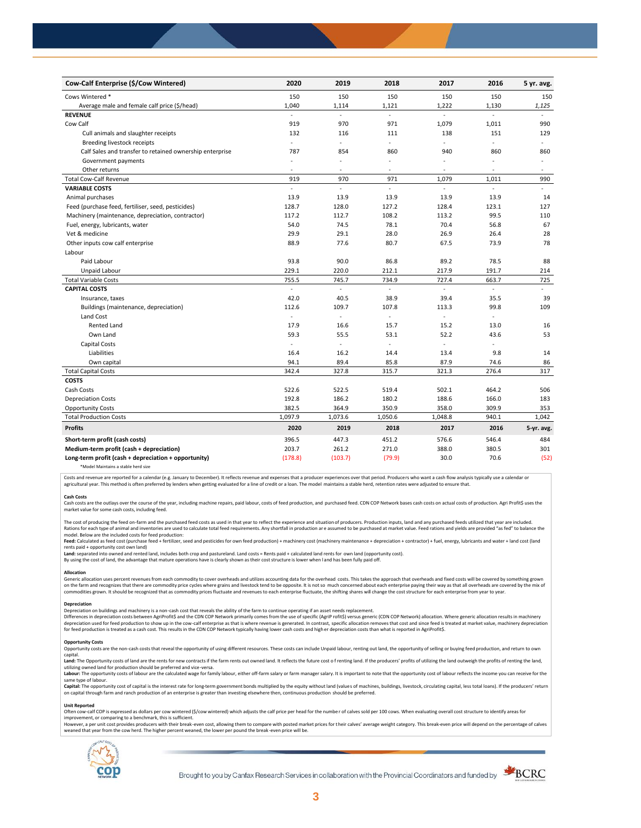| Cow-Calf Enterprise (\$/Cow Wintered)                    | 2020           | 2019           | 2018                     | 2017                     | 2016   | 5 yr. avg.               |
|----------------------------------------------------------|----------------|----------------|--------------------------|--------------------------|--------|--------------------------|
| Cows Wintered *                                          | 150            | 150            | 150                      | 150                      | 150    | 150                      |
| Average male and female calf price (\$/head)             | 1,040          | 1,114          | 1,121                    | 1,222                    | 1,130  | 1,125                    |
| <b>REVENUE</b>                                           |                | $\overline{a}$ | $\bar{\phantom{a}}$      |                          | $\sim$ |                          |
| Cow Calf                                                 | 919            | 970            | 971                      | 1,079                    | 1,011  | 990                      |
| Cull animals and slaughter receipts                      | 132            | 116            | 111                      | 138                      | 151    | 129                      |
| Breeding livestock receipts                              | ÷              | ÷,             | ÷.                       | ÷,                       |        | ÷                        |
| Calf Sales and transfer to retained ownership enterprise | 787            | 854            | 860                      | 940                      | 860    | 860                      |
| Government payments                                      | $\blacksquare$ | ÷,             | $\overline{\phantom{a}}$ | $\sim$                   |        | $\overline{\phantom{a}}$ |
| Other returns                                            | ٠              | ٠              | $\sim$                   | $\sim$                   | з.     | $\overline{a}$           |
| <b>Total Cow-Calf Revenue</b>                            | 919            | 970            | 971                      | 1,079                    | 1,011  | 990                      |
| <b>VARIABLE COSTS</b>                                    | L              | $\overline{a}$ | L.                       | ÷,                       | ä,     | ÷                        |
| Animal purchases                                         | 13.9           | 13.9           | 13.9                     | 13.9                     | 13.9   | 14                       |
| Feed (purchase feed, fertiliser, seed, pesticides)       | 128.7          | 128.0          | 127.2                    | 128.4                    | 123.1  | 127                      |
| Machinery (maintenance, depreciation, contractor)        | 117.2          | 112.7          | 108.2                    | 113.2                    | 99.5   | 110                      |
| Fuel, energy, lubricants, water                          | 54.0           | 74.5           | 78.1                     | 70.4                     | 56.8   | 67                       |
| Vet & medicine                                           | 29.9           | 29.1           | 28.0                     | 26.9                     | 26.4   | 28                       |
| Other inputs cow calf enterprise                         | 88.9           | 77.6           | 80.7                     | 67.5                     | 73.9   | 78                       |
| Labour                                                   |                |                |                          |                          |        |                          |
| Paid Labour                                              | 93.8           | 90.0           | 86.8                     | 89.2                     | 78.5   | 88                       |
| Unpaid Labour                                            | 229.1          | 220.0          | 212.1                    | 217.9                    | 191.7  | 214                      |
| <b>Total Variable Costs</b>                              | 755.5          | 745.7          | 734.9                    | 727.4                    | 663.7  | 725                      |
| <b>CAPITAL COSTS</b>                                     | L.             | L.             |                          |                          | L.     |                          |
| Insurance, taxes                                         | 42.0           | 40.5           | 38.9                     | 39.4                     | 35.5   | 39                       |
| Buildings (maintenance, depreciation)                    | 112.6          | 109.7          | 107.8                    | 113.3                    | 99.8   | 109                      |
| Land Cost                                                | $\blacksquare$ | $\sim$         |                          |                          |        |                          |
| <b>Rented Land</b>                                       | 17.9           | 16.6           | 15.7                     | 15.2                     | 13.0   | 16                       |
| Own Land                                                 | 59.3           | 55.5           | 53.1                     | 52.2                     | 43.6   | 53                       |
| Capital Costs                                            | L.             | ä,             |                          | $\overline{\phantom{a}}$ | ÷,     |                          |
| Liabilities                                              | 16.4           | 16.2           | 14.4                     | 13.4                     | 9.8    | 14                       |
| Own capital                                              | 94.1           | 89.4           | 85.8                     | 87.9                     | 74.6   | 86                       |
| <b>Total Capital Costs</b>                               | 342.4          | 327.8          | 315.7                    | 321.3                    | 276.4  | 317                      |
| <b>COSTS</b>                                             |                |                |                          |                          |        |                          |
| Cash Costs                                               | 522.6          | 522.5          | 519.4                    | 502.1                    | 464.2  | 506                      |
| <b>Depreciation Costs</b>                                | 192.8          | 186.2          | 180.2                    | 188.6                    | 166.0  | 183                      |
| <b>Opportunity Costs</b>                                 | 382.5          | 364.9          | 350.9                    | 358.0                    | 309.9  | 353                      |
| <b>Total Production Costs</b>                            | 1,097.9        | 1,073.6        | 1,050.6                  | 1,048.8                  | 940.1  | 1,042                    |
| <b>Profits</b>                                           | 2020           | 2019           | 2018                     | 2017                     | 2016   | 5-yr. avg.               |
| Short-term profit (cash costs)                           | 396.5          | 447.3          | 451.2                    | 576.6                    | 546.4  | 484                      |
| Medium-term profit (cash + depreciation)                 | 203.7          | 261.2          | 271.0                    | 388.0                    | 380.5  | 301                      |
| Long-term profit (cash + depreciation + opportunity)     | (178.8)        | (103.7)        | (79.9)                   | 30.0                     | 70.6   | (52)                     |
|                                                          |                |                |                          |                          |        |                          |

\*Model Maintains a stable herd size

Costs and revenue are reported for a calendar (e.g. January to December). It reflects revenue and expenses that a producer experiences over that period. Producers who want a cash flow analysis typically use a calendar or agricultural year. This method is often preferred by lenders when getting evaluated for a line of credit or a loan. The model maintains a stable herd, retention rates were adjusted to ensure that

C<mark>ash Costs</mark><br>Cash costs are the outlays over the course of the year, including machine repairs, paid labour, costs of feed production, and purchased feed. CDN COP Network bases cash costs on actual costs of production. Agr market value for some cash costs, including feed.

The cost of producing the feed on-farm and the purchased feed costs as used in that year to reflect the experience and situation of producers. Production inputs, land and any purchased feeds utilized that year are included model. Below are the included costs for feed production:

moder.outwhat was made used to receip would continuour.<br>**Feed:** Calculated as feed cost (purchase feed + fertilizer, seed and pesticides for own feed production) + machinery cost (machinery maintenance + depreciation + con rents paid + opportunity cost own land)

**Land:** separated into owned and rented land, includes both crop and pastureland. Land costs = Rents paid + calculated land rents for own land (opportunity cost).

By using the cost of land, the advantage that mature operations have is clearly shown as their cost structure is lower when l and has been fully paid off.

#### **Allocation**

Generic allocation uses percent revenues from each commodity to cover overheads and utilizes accounting data for the overhead costs. This takes the approach that overheads and fixed costs will be covered by something grown commodities grown. It should be recognized that as commodity prices fluctuate and revenues to each enterprise fluctuate, the shifting shares will change the cost structure for each enterprise from year to year.

## **Depreciation**

Depreciation on buildings and machinery is a non-cash cost that reveals the ability of the farm to continue operating if an asset needs replacement. Differences in depreciation costs between AgriProfit\$ and the CDN COP Network primarily comes from the use of specific (AgriP rofit\$) versus generic (CDN COP Network) allocation. Where generic allocation results in machine

### **Opportunity Costs**

Provincing COSS are the non-cash costs that reveal the opportunity of using different resources. These costs can include Unpaid labour, renting out land, the opportunity of selling or buying feed production, and return to capital.

required.<br>Land: The Opportunity costs of land are the rents for new contracts if the farm rents out owned land. It reflects the future cost of renting land. If the producers' profits of utilizing the land outweigh the prof utilizing owned land for production should be preferred and vice-versa.<br>**Labour:** The opportunity costs of labour are the calculated wage for family labour, either off-farm salary or farm manager salary. It is important to

same type of labour.

**Capita**l: The opportunity cost of capital is the interest rate for long-term government bonds multiplied by the equity without land (values of machines, buildings, livestock, circulating capital, less total loans). If the

#### **Unit Reported**

Often cow-calf COP is expressed as dollars per cow wintered (\$/cow wintered) which adjusts the calf price per head for the number of calves sold per 100 cows. When evaluating overall cost structure to identify areas for<br>im

however..export of the structure with the structure of the break-even cost. allowing them to compare with posted market prices for their calves' average weight category. This break-even price will depend on the percentage weaned that year from the cow herd. The higher percent weaned, the lower per pound the break -even price will be.



Brought to you by Canfax Research Services in collaboration with the Provincial Coordinators and funded by

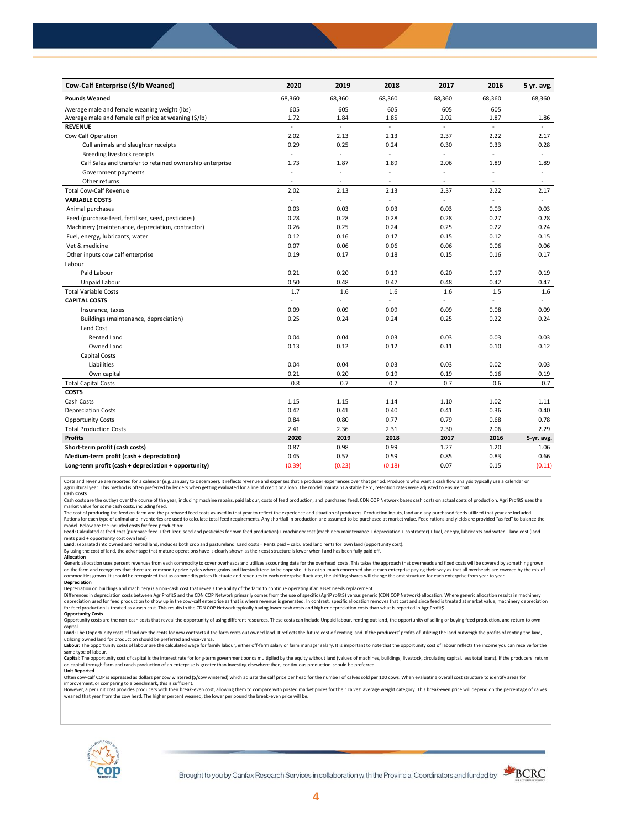| Cow-Calf Enterprise (\$/lb Weaned)                       | 2020                     | 2019                     | 2018   | 2017                     | 2016           | 5 yr. avg.               |
|----------------------------------------------------------|--------------------------|--------------------------|--------|--------------------------|----------------|--------------------------|
| <b>Pounds Weaned</b>                                     | 68,360                   | 68,360                   | 68,360 | 68,360                   | 68,360         | 68,360                   |
| Average male and female weaning weight (lbs)             | 605                      | 605                      | 605    | 605                      | 605            |                          |
| Average male and female calf price at weaning (\$/lb)    | 1.72                     | 1.84                     | 1.85   | 2.02                     | 1.87           | 1.86                     |
| <b>REVENUE</b>                                           | ÷.                       | ä,                       | ä,     | L,                       | ÷.             |                          |
| Cow Calf Operation                                       | 2.02                     | 2.13                     | 2.13   | 2.37                     | 2.22           | 2.17                     |
| Cull animals and slaughter receipts                      | 0.29                     | 0.25                     | 0.24   | 0.30                     | 0.33           | 0.28                     |
| Breeding livestock receipts                              | $\overline{\phantom{a}}$ | ä,                       | ÷,     | ä,                       | $\overline{a}$ | $\omega$                 |
| Calf Sales and transfer to retained ownership enterprise | 1.73                     | 1.87                     | 1.89   | 2.06                     | 1.89           | 1.89                     |
| Government payments                                      |                          | ÷,                       | ä,     | ä,                       | ÷,             | $\overline{\phantom{a}}$ |
| Other returns                                            | $\overline{\phantom{a}}$ | $\overline{\phantom{a}}$ | $\sim$ | $\overline{\phantom{a}}$ | $\sim$         | $\sim$                   |
| <b>Total Cow-Calf Revenue</b>                            | 2.02                     | 2.13                     | 2.13   | 2.37                     | 2.22           | 2.17                     |
| <b>VARIABLE COSTS</b>                                    | L.                       | ä,                       | L.     | L.                       | L.             | ÷                        |
| Animal purchases                                         | 0.03                     | 0.03                     | 0.03   | 0.03                     | 0.03           | 0.03                     |
| Feed (purchase feed, fertiliser, seed, pesticides)       | 0.28                     | 0.28                     | 0.28   | 0.28                     | 0.27           | 0.28                     |
| Machinery (maintenance, depreciation, contractor)        | 0.26                     | 0.25                     | 0.24   | 0.25                     | 0.22           | 0.24                     |
| Fuel, energy, lubricants, water                          | 0.12                     | 0.16                     | 0.17   | 0.15                     | 0.12           | 0.15                     |
| Vet & medicine                                           | 0.07                     | 0.06                     | 0.06   | 0.06                     | 0.06           | 0.06                     |
| Other inputs cow calf enterprise                         | 0.19                     | 0.17                     | 0.18   | 0.15                     | 0.16           | 0.17                     |
| Labour                                                   |                          |                          |        |                          |                |                          |
| Paid Labour                                              | 0.21                     | 0.20                     | 0.19   | 0.20                     | 0.17           | 0.19                     |
| Unpaid Labour                                            | 0.50                     | 0.48                     | 0.47   | 0.48                     | 0.42           | 0.47                     |
| <b>Total Variable Costs</b>                              | 1.7                      | 1.6                      | 1.6    | 1.6                      | 1.5            | 1.6                      |
| <b>CAPITAL COSTS</b>                                     | ÷.                       | L.                       | ÷.     | ä,                       | $\sim$         | u.                       |
| Insurance, taxes                                         | 0.09                     | 0.09                     | 0.09   | 0.09                     | 0.08           | 0.09                     |
| Buildings (maintenance, depreciation)                    | 0.25                     | 0.24                     | 0.24   | 0.25                     | 0.22           | 0.24                     |
| Land Cost                                                |                          |                          |        |                          |                |                          |
| <b>Rented Land</b>                                       | 0.04                     | 0.04                     | 0.03   | 0.03                     | 0.03           | 0.03                     |
| Owned Land                                               | 0.13                     | 0.12                     | 0.12   | 0.11                     | 0.10           | 0.12                     |
| <b>Capital Costs</b>                                     |                          |                          |        |                          |                |                          |
| Liabilities                                              | 0.04                     | 0.04                     | 0.03   | 0.03                     | 0.02           | 0.03                     |
| Own capital                                              | 0.21                     | 0.20                     | 0.19   | 0.19                     | 0.16           | 0.19                     |
| <b>Total Capital Costs</b>                               | 0.8                      | 0.7                      | 0.7    | 0.7                      | 0.6            | 0.7                      |
| <b>COSTS</b>                                             |                          |                          |        |                          |                |                          |
| Cash Costs                                               | 1.15                     | 1.15                     | 1.14   | 1.10                     | 1.02           | 1.11                     |
| <b>Depreciation Costs</b>                                | 0.42                     | 0.41                     | 0.40   | 0.41                     | 0.36           | 0.40                     |
| <b>Opportunity Costs</b>                                 | 0.84                     | 0.80                     | 0.77   | 0.79                     | 0.68           | 0.78                     |
| <b>Total Production Costs</b>                            | 2.41                     | 2.36                     | 2.31   | 2.30                     | 2.06           | 2.29                     |
| <b>Profits</b>                                           | 2020                     | 2019                     | 2018   | 2017                     | 2016           | 5-yr. avg.               |
| Short-term profit (cash costs)                           | 0.87                     | 0.98                     | 0.99   | 1.27                     | 1.20           | 1.06                     |
| Medium-term profit (cash + depreciation)                 | 0.45                     | 0.57                     | 0.59   | 0.85                     | 0.83           | 0.66                     |
| Long-term profit (cash + depreciation + opportunity)     | (0.39)                   | (0.23)                   | (0.18) | 0.07                     | 0.15           | (0.11)                   |

Costs and revenue are reported for a calendar (e.g. January to December). It reflects revenue and expenses that a producer experiences over that period. Producers who want a cash flow analysis typically use a calendar or<br>a

cash costs are the outlays over the course of the year, including machine repairs, paid labour, costs of feed production, and purchased feed. CDN COP Network bases cash costs on actual costs of production. Agri Profit\$ use market value for some cash costs, including feed.

The cost of producing the feed on-farm and the purchased feed costs as used in that year to reflect the experience and situation of producers. Production inputs, land and any purchased feeds utilized that year are included model. Below are the included costs for feed production:

Feed: Calculated as feed cost (purchase feed + fertilizer, seed and pesticides for own feed production) + machinery cost (machinery maintenance + depreciation + contractor) + fuel, energy, lubricants and water + land cost

Land: separated into owned and rented land, includes both crop and pastureland. Land costs = Rents paid + calculated land rents for own land (opportunity cost).

By using the cost of land, the advantage that mature operations have is clearly shown as their cost structure is lower when l and has been fully paid off. **Allocation**

Generic allocation uses percent revenues from each commodity to cover overheads and utilizes accounting data for the overhead costs. This takes the approach that overheads and fixed costs will be covered by something grown on the farm and recognizes that there are commodity price cycles where grains and livestock tend to be opposite. It is not so much concerned about each enterprise paying their way as that all overheads are covered by the m **Depreciation**

Depreciation on buildings and machinery is a non-cash cost that reveals the ability of the farm to continue operating if an asset needs replacement.

Differences in depreciation costs between AgriProfit\$ and the CDN COP Network primarily comes from the use of specific (AgriP rofit\$) versus generic (CDN COP Network) allocation. Where generic allocation results in machine

## **Opportunity Costs**

Opportunity costs are the non-cash costs that reveal the opportunity of using different resources. These costs can include Unpaid labour, renting out land, the opportunity of selling or buying feed production, and return t Land: The Opportunity costs of land are the rents for new contracts if the farm rents out owned land. It reflects the future cost of renting land. If the producers' profits of utilizing the land outweigh the profits of ren

utilizing owned land for production should be preferred and vice-versa.<br>**Labour:** The opportunity costs of labour are the calculated wage for family labour, either off-farm salary or farm manager salary. It is important to same type of labour.

Capital: The opportunity cost of capital is the interest rate for long-term government bonds multiplied by the equity without land (values of machines, buildings, livestock, circulating capital, less total loans). If the p on capital through farm and ranch production of an enterprise is greater than investing elsewhere then, continuous production should be preferred. **Unit Reported**

Often cow-calf COP is expressed as dollars per cow wintered (\$/cow wintered) which adjusts the calf price per head for the numbe r of calves sold per 100 cows. When evaluating overall cost structure to identify areas for

improvement, or comparing to a benchmark, this is sufficient.<br>However, a per unit cost provides producers with their break-even cost, allowing them to compare with posted market prices for their calves' average weight cate weaned that year from the cow herd. The higher percent weaned, the lower per pound the break -even price will be.



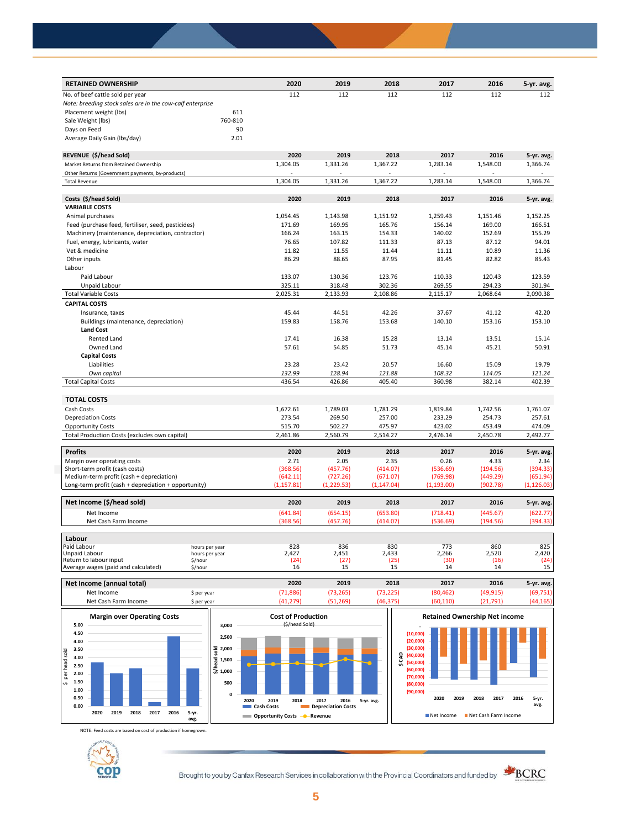| <b>RETAINED OWNERSHIP</b>                                 |         | 2020        | 2019        | 2018        | 2017        | 2016     | 5-yr. avg.         |
|-----------------------------------------------------------|---------|-------------|-------------|-------------|-------------|----------|--------------------|
| No. of beef cattle sold per year                          |         | 112         | 112         | 112         | 112         | 112      | 112                |
| Note: breeding stock sales are in the cow-calf enterprise |         |             |             |             |             |          |                    |
| Placement weight (lbs)                                    | 611     |             |             |             |             |          |                    |
| Sale Weight (lbs)                                         | 760-810 |             |             |             |             |          |                    |
| Days on Feed                                              | 90      |             |             |             |             |          |                    |
| Average Daily Gain (Ibs/day)                              | 2.01    |             |             |             |             |          |                    |
| REVENUE (\$/head Sold)                                    |         | 2020        | 2019        | 2018        | 2017        | 2016     | 5-yr. avg.         |
| Market Returns from Retained Ownership                    |         | 1,304.05    | 1,331.26    | 1,367.22    | 1,283.14    | 1,548.00 | 1,366.74           |
| Other Returns (Government payments, by-products)          |         |             |             |             |             |          |                    |
| <b>Total Revenue</b>                                      |         | 1,304.05    | 1,331.26    | 1,367.22    | 1,283.14    | 1,548.00 | 1,366.74           |
| Costs (\$/head Sold)                                      |         | 2020        | 2019        | 2018        | 2017        | 2016     | 5-yr. avg.         |
| <b>VARIABLE COSTS</b>                                     |         |             |             |             |             |          |                    |
| Animal purchases                                          |         | 1,054.45    | 1,143.98    | 1,151.92    | 1,259.43    | 1,151.46 | 1,152.25           |
| Feed (purchase feed, fertiliser, seed, pesticides)        |         | 171.69      | 169.95      | 165.76      | 156.14      | 169.00   | 166.51             |
| Machinery (maintenance, depreciation, contractor)         |         | 166.24      | 163.15      | 154.33      | 140.02      | 152.69   | 155.29             |
| Fuel, energy, lubricants, water                           |         | 76.65       | 107.82      | 111.33      | 87.13       | 87.12    | 94.01              |
| Vet & medicine                                            |         | 11.82       | 11.55       | 11.44       | 11.11       | 10.89    | 11.36              |
| Other inputs                                              |         | 86.29       | 88.65       | 87.95       | 81.45       | 82.82    | 85.43              |
| Labour                                                    |         |             |             |             |             |          |                    |
| Paid Labour                                               |         | 133.07      | 130.36      | 123.76      | 110.33      | 120.43   | 123.59             |
|                                                           |         |             |             |             |             |          |                    |
| Unpaid Labour                                             |         | 325.11      | 318.48      | 302.36      | 269.55      | 294.23   | 301.94<br>2,090.38 |
| <b>Total Variable Costs</b>                               |         | 2,025.31    | 2,133.93    | 2,108.86    | 2,115.17    | 2,068.64 |                    |
| <b>CAPITAL COSTS</b>                                      |         |             |             |             |             |          |                    |
| Insurance, taxes                                          |         | 45.44       | 44.51       | 42.26       | 37.67       | 41.12    | 42.20              |
| Buildings (maintenance, depreciation)                     |         | 159.83      | 158.76      | 153.68      | 140.10      | 153.16   | 153.10             |
| <b>Land Cost</b>                                          |         |             |             |             |             |          |                    |
| Rented Land                                               |         | 17.41       | 16.38       | 15.28       | 13.14       | 13.51    | 15.14              |
| Owned Land                                                |         | 57.61       | 54.85       | 51.73       | 45.14       | 45.21    | 50.91              |
| <b>Capital Costs</b>                                      |         |             |             |             |             |          |                    |
| Liabilities                                               |         | 23.28       | 23.42       | 20.57       | 16.60       | 15.09    | 19.79              |
| Own capital                                               |         | 132.99      | 128.94      | 121.88      | 108.32      | 114.05   | 121.24             |
| <b>Total Capital Costs</b>                                |         | 436.54      | 426.86      | 405.40      | 360.98      | 382.14   | 402.39             |
| <b>TOTAL COSTS</b>                                        |         |             |             |             |             |          |                    |
| Cash Costs                                                |         | 1,672.61    | 1,789.03    | 1,781.29    | 1,819.84    | 1,742.56 | 1,761.07           |
| <b>Depreciation Costs</b>                                 |         | 273.54      | 269.50      | 257.00      | 233.29      | 254.73   | 257.61             |
| <b>Opportunity Costs</b>                                  |         | 515.70      | 502.27      | 475.97      | 423.02      | 453.49   | 474.09             |
| Total Production Costs (excludes own capital)             |         | 2,461.86    | 2,560.79    | 2,514.27    | 2,476.14    | 2,450.78 | 2,492.77           |
| <b>Profits</b>                                            |         | 2020        | 2019        | 2018        | 2017        | 2016     | 5-yr. avg.         |
| Margin over operating costs                               |         | 2.71        | 2.05        | 2.35        | 0.26        | 4.33     | 2.34               |
| Short-term profit (cash costs)                            |         | (368.56)    | (457.76)    | (414.07)    | (536.69)    | (194.56) | (394.33)           |
| Medium-term profit (cash + depreciation)                  |         | (642.11)    | (727.26)    | (671.07)    | (769.98)    | (449.29) | (651.94)           |
| Long-term profit (cash + depreciation + opportunity)      |         | (1, 157.81) | (1, 229.53) | (1, 147.04) | (1, 193.00) | (902.78) | (1, 126.03)        |
| Net Income (\$/head sold)                                 |         | 2020        | 2019        | 2018        | 2017        | 2016     | 5-yr. avg.         |
| Net Income                                                |         | (641.84)    | (654.15)    | (653.80)    | (718.41)    | (445.67) | (622.77)           |
| Net Cash Farm Income                                      |         | (368.56)    | (457.76)    | (414.07)    | (536.69)    | (194.56) | (394.33)           |
| Labour                                                    |         |             |             |             |             |          |                    |
| Paid Labour<br>hours per year                             |         | 828         | 836         | 830         | 773         | 860      | 825                |
| Unpaid Labour<br>hours per year                           |         | 2,427       | 2,451       | 2,433       | 2,266       | 2,520    | 2,420              |
| Return to labour input<br>\$/hour                         |         | (24)        | (27)        | (25)        | (30)        | (16)     | (24)               |
| Average wages (paid and calculated)<br>\$/hour            |         | 16          | 15          | 15          | 14          | 14       | 15                 |





NOTE: Feed costs are based on cost of production if homegrown.



Brought to you by Canfax Research Services in collaboration with the Provincial Coordinators and funded by



**avg.**